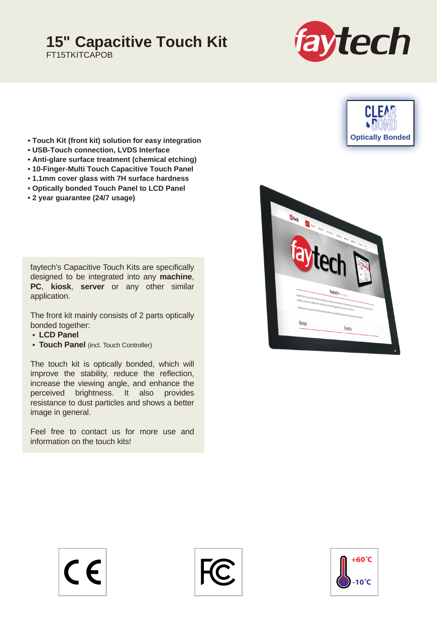## **15" Capacitive Touch Kit**

FT15TKITCAPOB



**Optically Bonded**

**CLEAR** 



- **USB-Touch connection, LVDS Interface**
- **Anti-glare surface treatment (chemical etching)**
- **10-Finger-Multi Touch Capacitive Touch Panel**
- **1.1mm cover glass with 7H surface hardness**
- **Optically bonded Touch Panel to LCD Panel**
- **2 year guarantee (24/7 usage)**

faytech's Capacitive Touch Kits are specifically designed to be integrated into any **machine**, **PC**, **kiosk**, **server** or any other similar application.

The front kit mainly consists of 2 parts optically bonded together:

- **LCD Panel**
- **Touch Panel** (incl. Touch Controller)

The touch kit is optically bonded, which will improve the stability, reduce the reflection, increase the viewing angle, and enhance the perceived brightness. It also provides resistance to dust particles and shows a better image in general.

Feel free to contact us for more use and information on the touch kits!